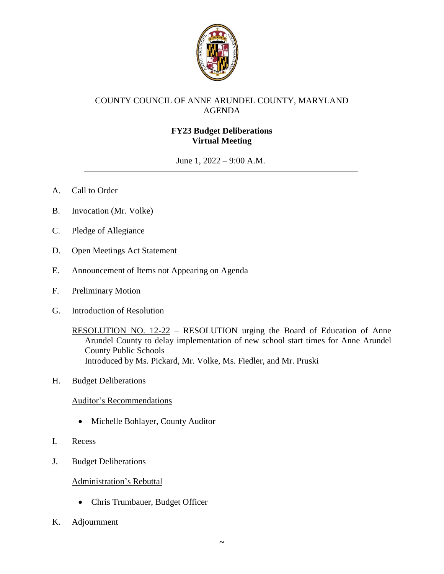

# COUNTY COUNCIL OF ANNE ARUNDEL COUNTY, MARYLAND AGENDA

# **FY23 Budget Deliberations Virtual Meeting**

June 1, 2022 – 9:00 A.M.

- A. Call to Order
- B. Invocation (Mr. Volke)
- C. Pledge of Allegiance
- D. Open Meetings Act Statement
- E. Announcement of Items not Appearing on Agenda
- F. Preliminary Motion
- G. Introduction of Resolution

RESOLUTION NO. 12-22 – RESOLUTION urging the Board of Education of Anne Arundel County to delay implementation of new school start times for Anne Arundel County Public Schools Introduced by Ms. Pickard, Mr. Volke, Ms. Fiedler, and Mr. Pruski

H. Budget Deliberations

### Auditor's Recommendations

- Michelle Bohlayer, County Auditor
- I. Recess
- J. Budget Deliberations

### Administration's Rebuttal

- Chris Trumbauer, Budget Officer
- K. Adjournment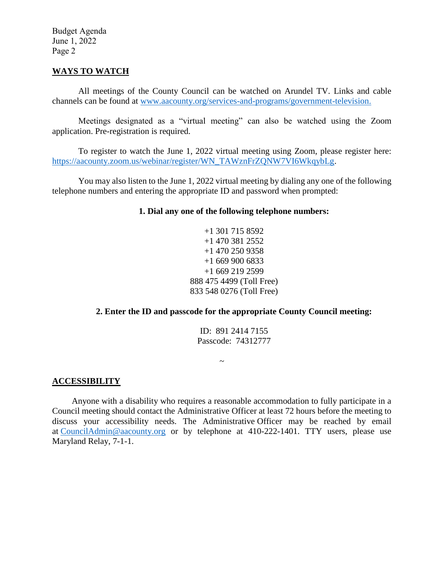Budget Agenda June 1, 2022 Page 2

#### **WAYS TO WATCH**

All meetings of the County Council can be watched on Arundel TV. Links and cable channels can be found at [www.aacounty.org/services-and-programs/government-television.](http://www.aacounty.org/services-and-programs/government-television)

Meetings designated as a "virtual meeting" can also be watched using the Zoom application. Pre-registration is required.

To register to watch the June 1, 2022 virtual meeting using Zoom, please register here: [https://aacounty.zoom.us/webinar/register/WN\\_TAWznFrZQNW7VI6WkqybLg.](https://aacounty.zoom.us/webinar/register/WN_TAWznFrZQNW7VI6WkqybLg)

You may also listen to the June 1, 2022 virtual meeting by dialing any one of the following telephone numbers and entering the appropriate ID and password when prompted:

### **1. Dial any one of the following telephone numbers:**

+1 301 715 8592 +1 470 381 2552 +1 470 250 9358 +1 669 900 6833 +1 669 219 2599 888 475 4499 (Toll Free) 833 548 0276 (Toll Free)

### **2. Enter the ID and passcode for the appropriate County Council meeting:**

ID: 891 2414 7155 Passcode: 74312777

### **ACCESSIBILITY**

Anyone with a disability who requires a reasonable accommodation to fully participate in a Council meeting should contact the Administrative Officer at least 72 hours before the meeting to discuss your accessibility needs. The Administrative Officer may be reached by email at [CouncilAdmin@aacounty.org](mailto:CouncilAdmin@aacounty.org) or by telephone at 410-222-1401. TTY users, please use Maryland Relay, 7-1-1.

 $\thicksim$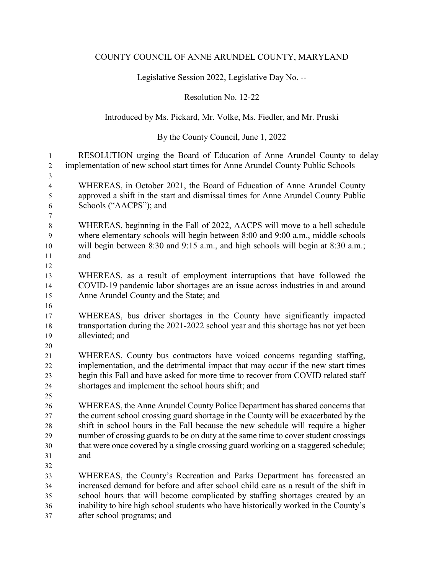#### COUNTY COUNCIL OF ANNE ARUNDEL COUNTY, MARYLAND

Legislative Session 2022, Legislative Day No. --

Resolution No. 12-22

## Introduced by Ms. Pickard, Mr. Volke, Ms. Fiedler, and Mr. Pruski

## By the County Council, June 1, 2022

 RESOLUTION urging the Board of Education of Anne Arundel County to delay implementation of new school start times for Anne Arundel County Public Schools WHEREAS, in October 2021, the Board of Education of Anne Arundel County approved a shift in the start and dismissal times for Anne Arundel County Public Schools ("AACPS"); and WHEREAS, beginning in the Fall of 2022, AACPS will move to a bell schedule where elementary schools will begin between 8:00 and 9:00 a.m., middle schools will begin between 8:30 and 9:15 a.m., and high schools will begin at 8:30 a.m.; and WHEREAS, as a result of employment interruptions that have followed the COVID-19 pandemic labor shortages are an issue across industries in and around Anne Arundel County and the State; and WHEREAS, bus driver shortages in the County have significantly impacted transportation during the 2021-2022 school year and this shortage has not yet been alleviated; and WHEREAS, County bus contractors have voiced concerns regarding staffing, implementation, and the detrimental impact that may occur if the new start times begin this Fall and have asked for more time to recover from COVID related staff shortages and implement the school hours shift; and WHEREAS, the Anne Arundel County Police Department has shared concerns that the current school crossing guard shortage in the County will be exacerbated by the shift in school hours in the Fall because the new schedule will require a higher number of crossing guards to be on duty at the same time to cover student crossings that were once covered by a single crossing guard working on a staggered schedule; and WHEREAS, the County's Recreation and Parks Department has forecasted an increased demand for before and after school child care as a result of the shift in school hours that will become complicated by staffing shortages created by an inability to hire high school students who have historically worked in the County's after school programs; and